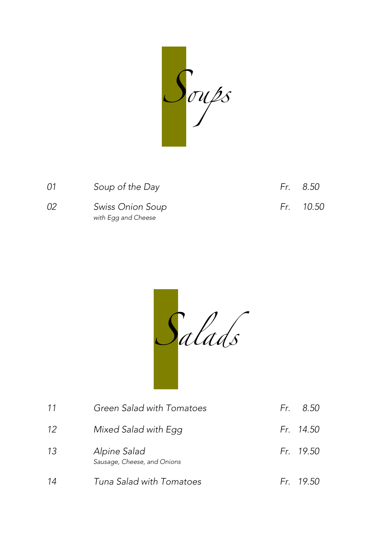Soups

| 01 | Soup of the Day                         | Fr. 8.50  |
|----|-----------------------------------------|-----------|
| 02 | Swiss Onion Soup<br>with Egg and Cheese | Fr. 10.50 |

Salads

| 11 | Green Salad with Tomatoes                   | Fr. 8.50  |
|----|---------------------------------------------|-----------|
| 12 | Mixed Salad with Egg                        | Fr. 14.50 |
| 13 | Alpine Salad<br>Sausage, Cheese, and Onions | Fr. 19.50 |
| 14 | Tuna Salad with Tomatoes                    | Fr. 19.50 |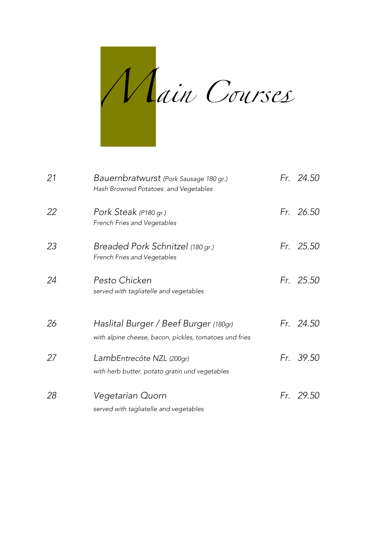

| 21 | Bauernbratwurst (Pork Sausage 180 gr.)<br>Hash Browned Potatoes and Vegetables                  | Fr. 24.50 |
|----|-------------------------------------------------------------------------------------------------|-----------|
| 22 | Pork Steak (P180 gr.)<br>French Fries and Vegetables                                            | Fr. 26.50 |
| 23 | Breaded Pork Schnitzel (180 gr.)<br>French Fries and Vegetables                                 | Fr. 25.50 |
| 24 | Pesto Chicken<br>served with tagliatelle and vegetables                                         | Fr. 25.50 |
| 26 | Haslital Burger / Beef Burger (180gr)<br>with alpine cheese, bacon, pickles, tomatoes und fries | Fr. 24.50 |
| 27 | LambEntrecôte NZL (200gr)<br>with herb butter, potato gratin und vegetables                     | Fr. 39.50 |
| 28 | Vegetarian Quorn<br>served with tagliatelle and vegetables                                      | Fr. 29.50 |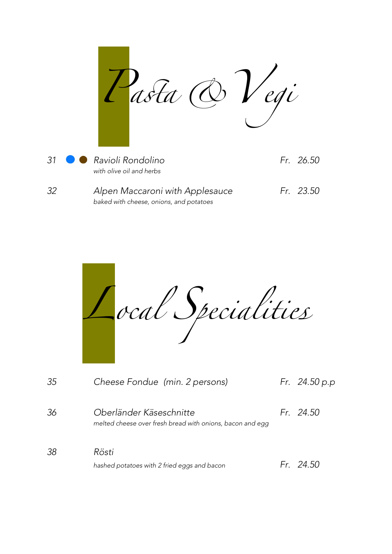Pasta & Vegi 31 **C** Ravioli Rondolino Fr. 26.50 with olive oil and herbs 32 Alpen Maccaroni with Applesauce Fr. 23.50 baked with cheese, onions, and potatoes

|    | ocal Specialities                                                                    |               |
|----|--------------------------------------------------------------------------------------|---------------|
| 35 | Cheese Fondue (min. 2 persons)                                                       | Fr. 24.50 p.p |
| 36 | Oberländer Käseschnitte<br>melted cheese over fresh bread with onions, bacon and egg | Fr. 24.50     |
| 38 | Rösti<br>hashed potatoes with 2 fried eggs and bacon                                 | Fr. 24.50     |